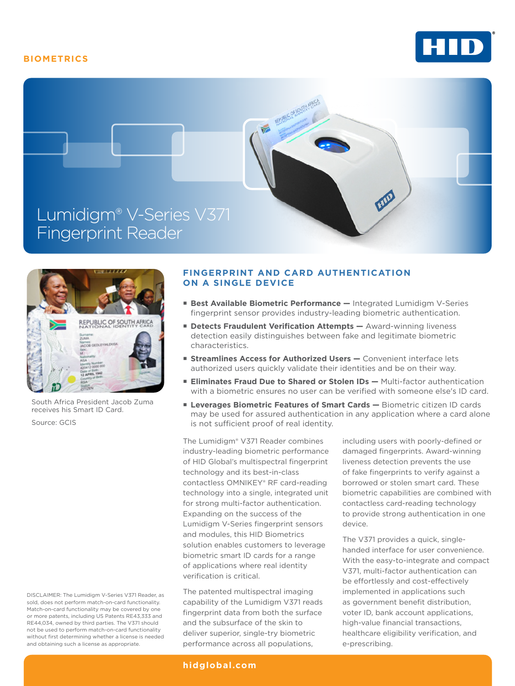# **BIOMETRICS**







South Africa President Jacob Zuma receives his Smart ID Card.

Source: GCIS

DISCLAIMER: The Lumidigm V-Series V371 Reader, as sold, does not perform match-on-card functionality. Match-on-card functionality may be covered by one or more patents, including US Patents RE43,333 and RE44,034, owned by third parties. The V371 should not be used to perform match-on-card functionality without first determining whether a license is needed and obtaining such a license as appropriate.

# **FINGERPRINT AND CARD AUTHENTICATION ON A SINGLE DEVICE**

- **Best Available Biometric Performance —** Integrated Lumidigm V-Series fingerprint sensor provides industry-leading biometric authentication.
- **Detects Fraudulent Verification Attempts Award-winning liveness** detection easily distinguishes between fake and legitimate biometric characteristics.
- **Streamlines Access for Authorized Users Convenient interface lets** authorized users quickly validate their identities and be on their way.
- **Eliminates Fraud Due to Shared or Stolen IDs Multi-factor authentication** with a biometric ensures no user can be verified with someone else's ID card.
- **Leverages Biometric Features of Smart Cards** Biometric citizen ID cards may be used for assured authentication in any application where a card alone is not sufficient proof of real identity.

The Lumidigm® V371 Reader combines industry-leading biometric performance of HID Global's multispectral fingerprint technology and its best-in-class contactless OMNIKEY® RF card-reading technology into a single, integrated unit for strong multi-factor authentication. Expanding on the success of the Lumidigm V-Series fingerprint sensors and modules, this HID Biometrics solution enables customers to leverage biometric smart ID cards for a range of applications where real identity verification is critical.

The patented multispectral imaging capability of the Lumidigm V371 reads fingerprint data from both the surface and the subsurface of the skin to deliver superior, single-try biometric performance across all populations,

including users with poorly-defined or damaged fingerprints. Award-winning liveness detection prevents the use of fake fingerprints to verify against a borrowed or stolen smart card. These biometric capabilities are combined with contactless card-reading technology to provide strong authentication in one device.

The V371 provides a quick, singlehanded interface for user convenience. With the easy-to-integrate and compact V371, multi-factor authentication can be effortlessly and cost-effectively implemented in applications such as government benefit distribution, voter ID, bank account applications, high-value financial transactions, healthcare eligibility verification, and e-prescribing.

#### **hidglobal.com**